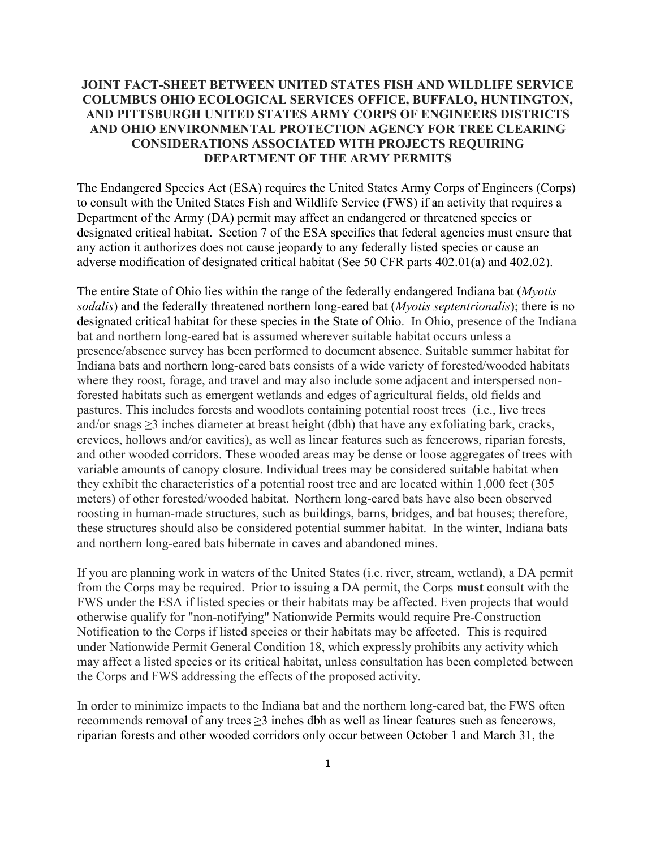## **JOINT FACT-SHEET BETWEEN UNITED STATES FISH AND WILDLIFE SERVICE COLUMBUS OHIO ECOLOGICAL SERVICES OFFICE, BUFFALO, HUNTINGTON, AND PITTSBURGH UNITED STATES ARMY CORPS OF ENGINEERS DISTRICTS AND OHIO ENVIRONMENTAL PROTECTION AGENCY FOR TREE CLEARING CONSIDERATIONS ASSOCIATED WITH PROJECTS REQUIRING DEPARTMENT OF THE ARMY PERMITS**

The Endangered Species Act (ESA) requires the United States Army Corps of Engineers (Corps) to consult with the United States Fish and Wildlife Service (FWS) if an activity that requires a Department of the Army (DA) permit may affect an endangered or threatened species or designated critical habitat. Section 7 of the ESA specifies that federal agencies must ensure that any action it authorizes does not cause jeopardy to any federally listed species or cause an adverse modification of designated critical habitat (See 50 CFR parts 402.01(a) and 402.02).

The entire State of Ohio lies within the range of the federally endangered Indiana bat (*Myotis sodalis*) and the federally threatened northern long-eared bat (*Myotis septentrionalis*); there is no designated critical habitat for these species in the State of Ohio. In Ohio, presence of the Indiana bat and northern long-eared bat is assumed wherever suitable habitat occurs unless a presence/absence survey has been performed to document absence. Suitable summer habitat for Indiana bats and northern long-eared bats consists of a wide variety of forested/wooded habitats where they roost, forage, and travel and may also include some adjacent and interspersed nonforested habitats such as emergent wetlands and edges of agricultural fields, old fields and pastures. This includes forests and woodlots containing potential roost trees (i.e., live trees and/or snags  $\geq$ 3 inches diameter at breast height (dbh) that have any exfoliating bark, cracks, crevices, hollows and/or cavities), as well as linear features such as fencerows, riparian forests, and other wooded corridors. These wooded areas may be dense or loose aggregates of trees with variable amounts of canopy closure. Individual trees may be considered suitable habitat when they exhibit the characteristics of a potential roost tree and are located within 1,000 feet (305 meters) of other forested/wooded habitat. Northern long-eared bats have also been observed roosting in human-made structures, such as buildings, barns, bridges, and bat houses; therefore, these structures should also be considered potential summer habitat. In the winter, Indiana bats and northern long-eared bats hibernate in caves and abandoned mines.

If you are planning work in waters of the United States (i.e. river, stream, wetland), a DA permit from the Corps may be required. Prior to issuing a DA permit, the Corps **must** consult with the FWS under the ESA if listed species or their habitats may be affected. Even projects that would otherwise qualify for "non-notifying" Nationwide Permits would require Pre-Construction Notification to the Corps if listed species or their habitats may be affected. This is required under Nationwide Permit General Condition 18, which expressly prohibits any activity which may affect a listed species or its critical habitat, unless consultation has been completed between the Corps and FWS addressing the effects of the proposed activity.

In order to minimize impacts to the Indiana bat and the northern long-eared bat, the FWS often recommends removal of any trees ≥3 inches dbh as well as linear features such as fencerows, riparian forests and other wooded corridors only occur between October 1 and March 31, the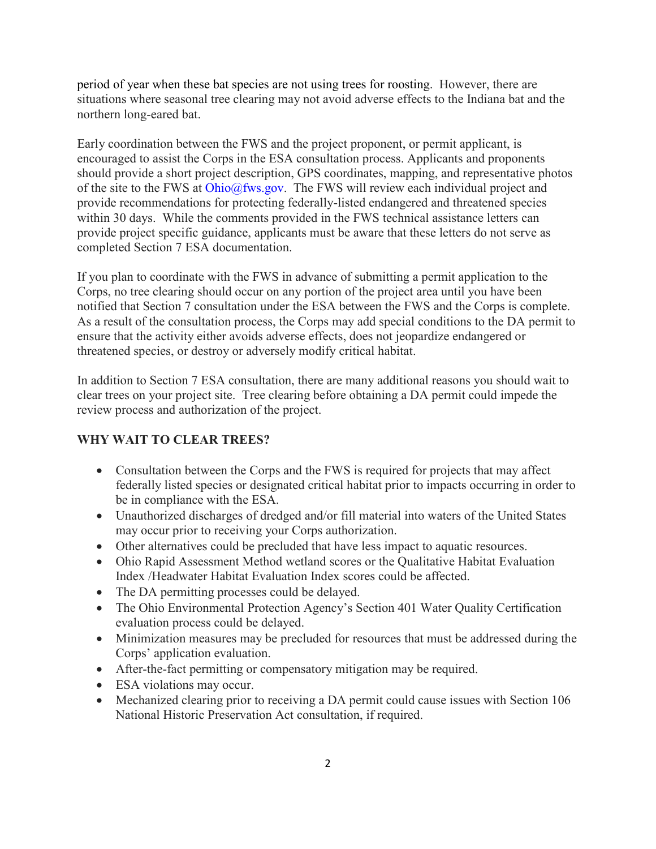period of year when these bat species are not using trees for roosting. However, there are situations where seasonal tree clearing may not avoid adverse effects to the Indiana bat and the northern long-eared bat.

Early coordination between the FWS and the project proponent, or permit applicant, is encouraged to assist the Corps in the ESA consultation process. Applicants and proponents should provide a short project description, GPS coordinates, mapping, and representative photos of the site to the FWS at [Ohio@fws.gov.](mailto:Ohio@fws.gov) The FWS will review each individual project and provide recommendations for protecting federally-listed endangered and threatened species within 30 days. While the comments provided in the FWS technical assistance letters can provide project specific guidance, applicants must be aware that these letters do not serve as completed Section 7 ESA documentation.

If you plan to coordinate with the FWS in advance of submitting a permit application to the Corps, no tree clearing should occur on any portion of the project area until you have been notified that Section 7 consultation under the ESA between the FWS and the Corps is complete. As a result of the consultation process, the Corps may add special conditions to the DA permit to ensure that the activity either avoids adverse effects, does not jeopardize endangered or threatened species, or destroy or adversely modify critical habitat.

In addition to Section 7 ESA consultation, there are many additional reasons you should wait to clear trees on your project site. Tree clearing before obtaining a DA permit could impede the review process and authorization of the project.

# **WHY WAIT TO CLEAR TREES?**

- Consultation between the Corps and the FWS is required for projects that may affect federally listed species or designated critical habitat prior to impacts occurring in order to be in compliance with the ESA.
- Unauthorized discharges of dredged and/or fill material into waters of the United States may occur prior to receiving your Corps authorization.
- Other alternatives could be precluded that have less impact to aquatic resources.
- Ohio Rapid Assessment Method wetland scores or the Qualitative Habitat Evaluation Index /Headwater Habitat Evaluation Index scores could be affected.
- The DA permitting processes could be delayed.
- The Ohio Environmental Protection Agency's Section 401 Water Quality Certification evaluation process could be delayed.
- Minimization measures may be precluded for resources that must be addressed during the Corps' application evaluation.
- After-the-fact permitting or compensatory mitigation may be required.
- ESA violations may occur.
- Mechanized clearing prior to receiving a DA permit could cause issues with Section 106 National Historic Preservation Act consultation, if required.